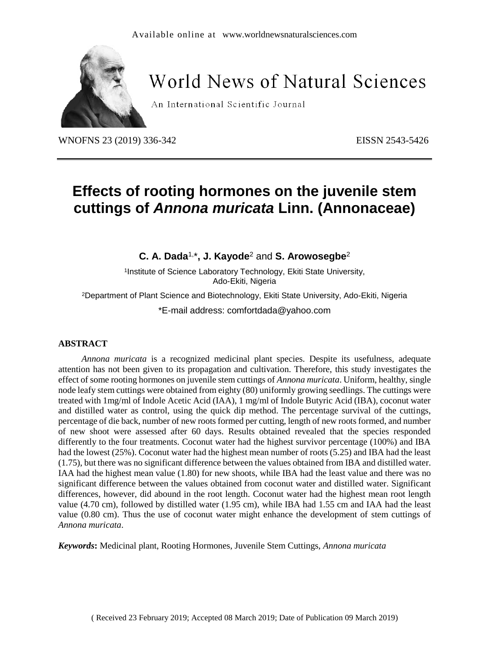

# **World News of Natural Sciences**

An International Scientific Journal

WNOFNS 23 (2019) 336-342 EISSN 2543-5426

# **Effects of rooting hormones on the juvenile stem cuttings of** *Annona muricata* **Linn. (Annonaceae)**

**C. A. Dada**1, \***, J. Kayode**<sup>2</sup> and **S. Arowosegbe**<sup>2</sup>

1 Institute of Science Laboratory Technology, Ekiti State University, Ado-Ekiti, Nigeria

<sup>2</sup>Department of Plant Science and Biotechnology, Ekiti State University, Ado-Ekiti, Nigeria

\*E-mail address: comfortdada@yahoo.com

#### **ABSTRACT**

*Annona muricata* is a recognized medicinal plant species. Despite its usefulness, adequate attention has not been given to its propagation and cultivation. Therefore, this study investigates the effect of some rooting hormones on juvenile stem cuttings of *Annona muricata*. Uniform, healthy, single node leafy stem cuttings were obtained from eighty (80) uniformly growing seedlings. The cuttings were treated with 1mg/ml of Indole Acetic Acid (IAA), 1 mg/ml of Indole Butyric Acid (IBA), coconut water and distilled water as control, using the quick dip method. The percentage survival of the cuttings, percentage of die back, number of new roots formed per cutting, length of new roots formed, and number of new shoot were assessed after 60 days. Results obtained revealed that the species responded differently to the four treatments. Coconut water had the highest survivor percentage (100%) and IBA had the lowest (25%). Coconut water had the highest mean number of roots (5.25) and IBA had the least (1.75), but there was no significant difference between the values obtained from IBA and distilled water. IAA had the highest mean value (1.80) for new shoots, while IBA had the least value and there was no significant difference between the values obtained from coconut water and distilled water. Significant differences, however, did abound in the root length. Coconut water had the highest mean root length value (4.70 cm), followed by distilled water (1.95 cm), while IBA had 1.55 cm and IAA had the least value (0.80 cm). Thus the use of coconut water might enhance the development of stem cuttings of *Annona muricata*.

*Keywords***:** Medicinal plant, Rooting Hormones, Juvenile Stem Cuttings, *Annona muricata*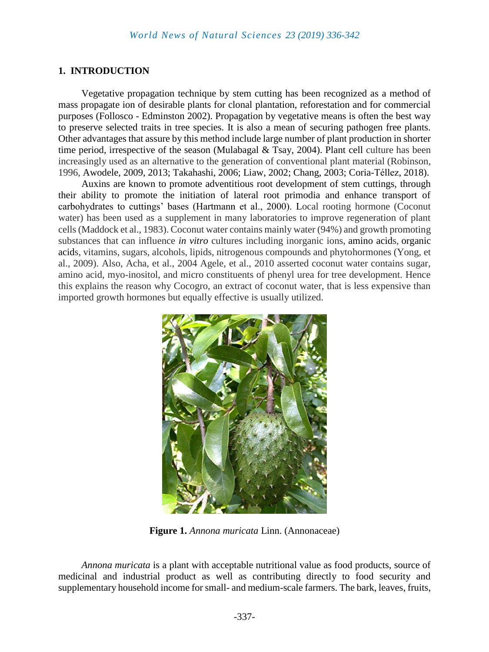#### **1. INTRODUCTION**

Vegetative propagation technique by stem cutting has been recognized as a method of mass propagate ion of desirable plants for clonal plantation, reforestation and for commercial purposes (Follosco - Edminston 2002). Propagation by vegetative means is often the best way to preserve selected traits in tree species. It is also a mean of securing pathogen free plants. Other advantages that assure by this method include large number of plant production in shorter time period, irrespective of the season (Mulabagal & Tsay, 2004). Plant cell culture has been increasingly used as an alternative to the generation of conventional plant material (Robinson, 1996, Awodele, 2009, 2013; Takahashi, 2006; Liaw, 2002; Chang, 2003; Coria-Téllez, 2018).

Auxins are known to promote adventitious root development of stem cuttings, through their ability to promote the initiation of lateral root primodia and enhance transport of carbohydrates to cuttings' bases (Hartmann et al., 2000). Local rooting hormone (Coconut water) has been used as a supplement in many laboratories to improve regeneration of plant cells (Maddock et al., 1983). Coconut water contains mainly water (94%) and growth promoting substances that can influence *in [vitro](http://www.scialert.net/asci/result.php?searchin=Keywords&cat=&ascicat=ALL&Submit=Search&keyword=in+vitro)* cultures including inorganic ions, [amino](http://www.scialert.net/asci/result.php?searchin=Keywords&cat=&ascicat=ALL&Submit=Search&keyword=amino+acid) acids, [organic](http://www.scialert.net/asci/result.php?searchin=Keywords&cat=&ascicat=ALL&Submit=Search&keyword=organic+acid) [acids](http://www.scialert.net/asci/result.php?searchin=Keywords&cat=&ascicat=ALL&Submit=Search&keyword=organic+acid), vitamins, sugars, alcohols, lipids, nitrogenous compounds and phytohormones (Yong, et al., 2009). Also, Acha, et al., 2004 Agele, et al., 2010 asserted coconut water contains sugar, amino acid, myo-inositol, and micro constituents of phenyl urea for tree development. Hence this explains the reason why Cocogro, an extract of coconut water, that is less expensive than imported growth hormones but equally effective is usually utilized.



**Figure 1.** *Annona muricata* Linn. (Annonaceae)

*Annona muricata* is a plant with acceptable nutritional value as food products, source of medicinal and industrial product as well as contributing directly to food security and supplementary household income for small- and medium-scale farmers. The bark, leaves, fruits,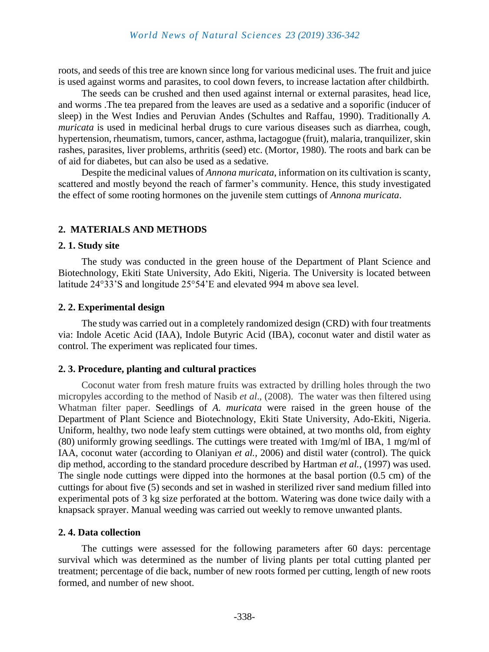roots, and seeds of this tree are known since long for various medicinal uses. The fruit and juice is used against worms and parasites, to cool down fevers, to increase lactation after childbirth.

The seeds can be crushed and then used against internal or external parasites, head lice, and worms .The tea prepared from the leaves are used as a sedative and a soporific (inducer of sleep) in the West Indies and Peruvian Andes (Schultes and Raffau, 1990). Traditionally *A. muricata* is used in medicinal herbal drugs to cure various diseases such as diarrhea, cough, hypertension, rheumatism, tumors, cancer, asthma, lactagogue (fruit), malaria, tranquilizer, skin rashes, parasites, liver problems, arthritis (seed) etc. (Mortor, 1980). The roots and bark can be of aid for diabetes, but can also be used as a sedative.

Despite the medicinal values of *Annona muricata*, information on its cultivation is scanty, scattered and mostly beyond the reach of farmer's community. Hence, this study investigated the effect of some rooting hormones on the juvenile stem cuttings of *Annona muricata*.

# **2. MATERIALS AND METHODS**

#### **2. 1. Study site**

The study was conducted in the green house of the Department of Plant Science and Biotechnology, Ekiti State University, Ado Ekiti, Nigeria. The University is located between latitude 24°33'S and longitude 25°54'E and elevated 994 m above sea level.

#### **2. 2. Experimental design**

The study was carried out in a completely randomized design (CRD) with four treatments via: Indole Acetic Acid (IAA), Indole Butyric Acid (IBA), coconut water and distil water as control. The experiment was replicated four times.

### **2. 3. Procedure, planting and cultural practices**

Coconut water from fresh mature fruits was extracted by drilling holes through the two micropyles according to the method of Nasib *et al*., (2008). The water was then filtered using Whatman filter paper. Seedlings of *A. muricata* were raised in the green house of the Department of Plant Science and Biotechnology, Ekiti State University, Ado-Ekiti, Nigeria. Uniform, healthy, two node leafy stem cuttings were obtained, at two months old, from eighty (80) uniformly growing seedlings. The cuttings were treated with 1mg/ml of IBA, 1 mg/ml of IAA, coconut water (according to Olaniyan *et al.,* 2006) and distil water (control). The quick dip method, according to the standard procedure described by Hartman *et al.,* (1997) was used. The single node cuttings were dipped into the hormones at the basal portion (0.5 cm) of the cuttings for about five (5) seconds and set in washed in sterilized river sand medium filled into experimental pots of 3 kg size perforated at the bottom. Watering was done twice daily with a knapsack sprayer. Manual weeding was carried out weekly to remove unwanted plants.

### **2. 4. Data collection**

The cuttings were assessed for the following parameters after 60 days: percentage survival which was determined as the number of living plants per total cutting planted per treatment; percentage of die back, number of new roots formed per cutting, length of new roots formed, and number of new shoot.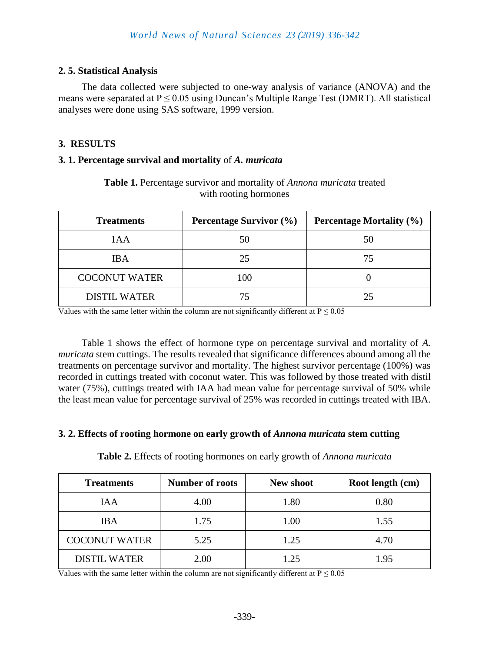# **2. 5. Statistical Analysis**

The data collected were subjected to one-way analysis of variance (ANOVA) and the means were separated at  $P \le 0.05$  using Duncan's Multiple Range Test (DMRT). All statistical analyses were done using SAS software, 1999 version.

## **3. RESULTS**

#### **3. 1. Percentage survival and mortality** of *A. muricata*

| <b>Treatments</b>    | <b>Percentage Survivor (%)</b> | <b>Percentage Mortality (%)</b> |
|----------------------|--------------------------------|---------------------------------|
| 1AA                  | 50                             | 50                              |
| <b>IBA</b>           | 25                             | 75                              |
| <b>COCONUT WATER</b> | 100                            |                                 |
| <b>DISTIL WATER</b>  |                                | つち                              |

**Table 1.** Percentage survivor and mortality of *Annona muricata* treated with rooting hormones

Values with the same letter within the column are not significantly different at  $P \le 0.05$ 

Table 1 shows the effect of hormone type on percentage survival and mortality of *A. muricata* stem cuttings. The results revealed that significance differences abound among all the treatments on percentage survivor and mortality. The highest survivor percentage (100%) was recorded in cuttings treated with coconut water. This was followed by those treated with distil water (75%), cuttings treated with IAA had mean value for percentage survival of 50% while the least mean value for percentage survival of 25% was recorded in cuttings treated with IBA.

#### **3. 2. Effects of rooting hormone on early growth of** *Annona muricata* **stem cutting**

| <b>Treatments</b>    | <b>Number of roots</b> | <b>New shoot</b> | Root length (cm) |
|----------------------|------------------------|------------------|------------------|
| <b>IAA</b>           | 4.00                   | 1.80             | 0.80             |
| <b>IBA</b>           | 1.75                   | 1.00             | 1.55             |
| <b>COCONUT WATER</b> | 5.25                   | 1.25             | 4.70             |
| <b>DISTIL WATER</b>  | 2.00                   | 1 25             | 1.95             |

**Table 2.** Effects of rooting hormones on early growth of *Annona muricata*

Values with the same letter within the column are not significantly different at  $P \le 0.05$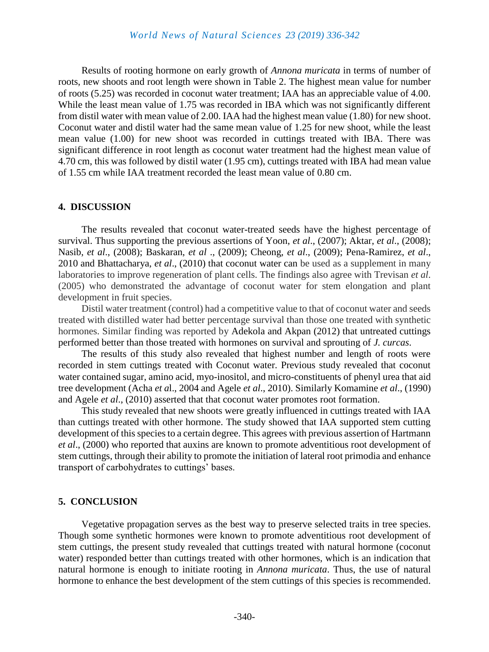Results of rooting hormone on early growth of *Annona muricata* in terms of number of roots, new shoots and root length were shown in Table 2. The highest mean value for number of roots (5.25) was recorded in coconut water treatment; IAA has an appreciable value of 4.00. While the least mean value of 1.75 was recorded in IBA which was not significantly different from distil water with mean value of 2.00. IAA had the highest mean value (1.80) for new shoot. Coconut water and distil water had the same mean value of 1.25 for new shoot, while the least mean value (1.00) for new shoot was recorded in cuttings treated with IBA. There was significant difference in root length as coconut water treatment had the highest mean value of 4.70 cm, this was followed by distil water (1.95 cm), cuttings treated with IBA had mean value of 1.55 cm while IAA treatment recorded the least mean value of 0.80 cm.

#### **4. DISCUSSION**

The results revealed that coconut water-treated seeds have the highest percentage of survival. Thus supporting the previous assertions of Yoon, *et al*., (2007); Aktar, *et al*., (2008); Nasib, *et al*., (2008); Baskaran, *et al* ., (2009); Cheong, *et al*., (2009); Pena-Ramirez, *et al*., 2010 and Bhattacharya, *et al*., (2010) that coconut water can be used as a supplement in many laboratories to improve regeneration of plant cells. The findings also agree with Trevisan *et al*. (2005) who demonstrated the advantage of coconut water for stem elongation and plant development in fruit species.

Distil water treatment (control) had a competitive value to that of coconut water and seeds treated with distilled water had better percentage survival than those one treated with synthetic hormones. Similar finding was reported by Adekola and Akpan (2012) that untreated cuttings performed better than those treated with hormones on survival and sprouting of *J. curcas*.

The results of this study also revealed that highest number and length of roots were recorded in stem cuttings treated with Coconut water. Previous study revealed that coconut water contained sugar, amino acid, myo-inositol, and micro-constituents of phenyl urea that aid tree development (Acha *et a*l., 2004 and Agele *et al*., 2010). Similarly Komamine *et al*., (1990) and Agele *et al*., (2010) asserted that that coconut water promotes root formation.

This study revealed that new shoots were greatly influenced in cuttings treated with IAA than cuttings treated with other hormone. The study showed that IAA supported stem cutting development of this species to a certain degree. This agrees with previous assertion of Hartmann *et al*., (2000) who reported that auxins are known to promote adventitious root development of stem cuttings, through their ability to promote the initiation of lateral root primodia and enhance transport of carbohydrates to cuttings' bases.

#### **5. CONCLUSION**

Vegetative propagation serves as the best way to preserve selected traits in tree species. Though some synthetic hormones were known to promote adventitious root development of stem cuttings, the present study revealed that cuttings treated with natural hormone (coconut water) responded better than cuttings treated with other hormones, which is an indication that natural hormone is enough to initiate rooting in *Annona muricata*. Thus, the use of natural hormone to enhance the best development of the stem cuttings of this species is recommended.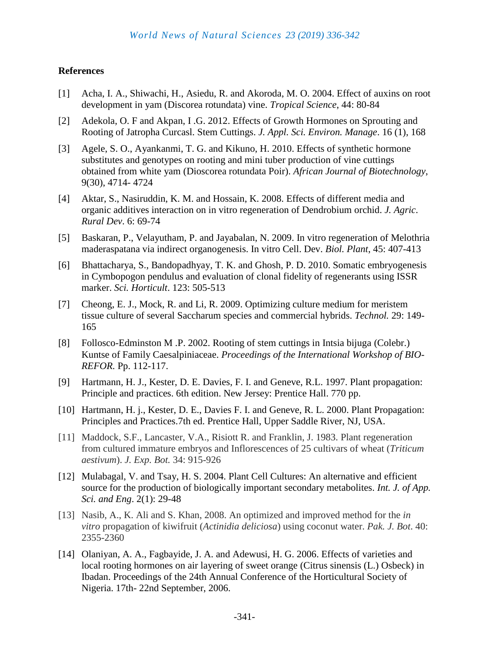### **References**

- [1] Acha, I. A., Shiwachi, H., Asiedu, R. and Akoroda, M. O. 2004. Effect of auxins on root development in yam (Discorea rotundata) vine. *Tropical Science*, 44: 80-84
- [2] Adekola, O. F and Akpan, I .G. 2012. Effects of Growth Hormones on Sprouting and Rooting of Jatropha Curcasl. Stem Cuttings. *J. Appl. Sci. Environ. Manage*. 16 (1), 168
- [3] Agele, S. O., Ayankanmi, T. G. and Kikuno, H. 2010. Effects of synthetic hormone substitutes and genotypes on rooting and mini tuber production of vine cuttings obtained from white yam (Dioscorea rotundata Poir). *African Journal of Biotechnology*, 9(30), 4714- 4724
- [4] Aktar, S., Nasiruddin, K. M. and Hossain, K. 2008. Effects of different media and organic additives interaction on in vitro regeneration of Dendrobium orchid. *J. Agric*. *Rural Dev*. 6: 69-74
- [5] Baskaran, P., Velayutham, P. and Jayabalan, N. 2009. In vitro regeneration of Melothria maderaspatana via indirect organogenesis. In vitro Cell. Dev. *Biol. Plant*, 45: 407-413
- [6] Bhattacharya, S., Bandopadhyay, T. K. and Ghosh, P. D. 2010. Somatic embryogenesis in Cymbopogon pendulus and evaluation of clonal fidelity of regenerants using ISSR marker. *Sci. Horticult*. 123: 505-513
- [7] Cheong, E. J., Mock, R. and Li, R. 2009. Optimizing culture medium for meristem tissue culture of several Saccharum species and commercial hybrids. *Technol.* 29: 149- 165
- [8] Follosco-Edminston M .P. 2002. Rooting of stem cuttings in Intsia bijuga (Colebr.) Kuntse of Family Caesalpiniaceae. *Proceedings of the International Workshop of BIO-REFOR.* Pp. 112-117.
- [9] Hartmann, H. J., Kester, D. E. Davies, F. I. and Geneve, R.L. 1997. Plant propagation: Principle and practices. 6th edition. New Jersey: Prentice Hall. 770 pp.
- [10] Hartmann, H. j., Kester, D. E., Davies F. I. and Geneve, R. L. 2000. Plant Propagation: Principles and Practices.7th ed. Prentice Hall, Upper Saddle River, NJ, USA.
- [11] Maddock, S.F., Lancaster, V.A., Risiott R. and Franklin, J. 1983. Plant regeneration from cultured immature embryos and Inflorescences of 25 cultivars of wheat (*Triticum aestivum*). *J. Exp. Bot.* 34: 915-926
- [12] Mulabagal, V. and Tsay, H. S. 2004. Plant Cell Cultures: An alternative and efficient source for the production of biologically important secondary metabolites. *Int. J. of App. Sci. and Eng*. 2(1): 29-48
- [13] Nasib, A., K. Ali and S. Khan, 2008. An optimized and improved method for the *in vitro* propagation of kiwifruit (*Actinidia deliciosa*) using coconut water. *Pak. J. Bot*. 40: 2355-2360
- [14] Olaniyan, A. A., Fagbayide, J. A. and Adewusi, H. G. 2006. Effects of varieties and local rooting hormones on air layering of sweet orange (Citrus sinensis (L.) Osbeck) in Ibadan. Proceedings of the 24th Annual Conference of the Horticultural Society of Nigeria. 17th- 22nd September, 2006.